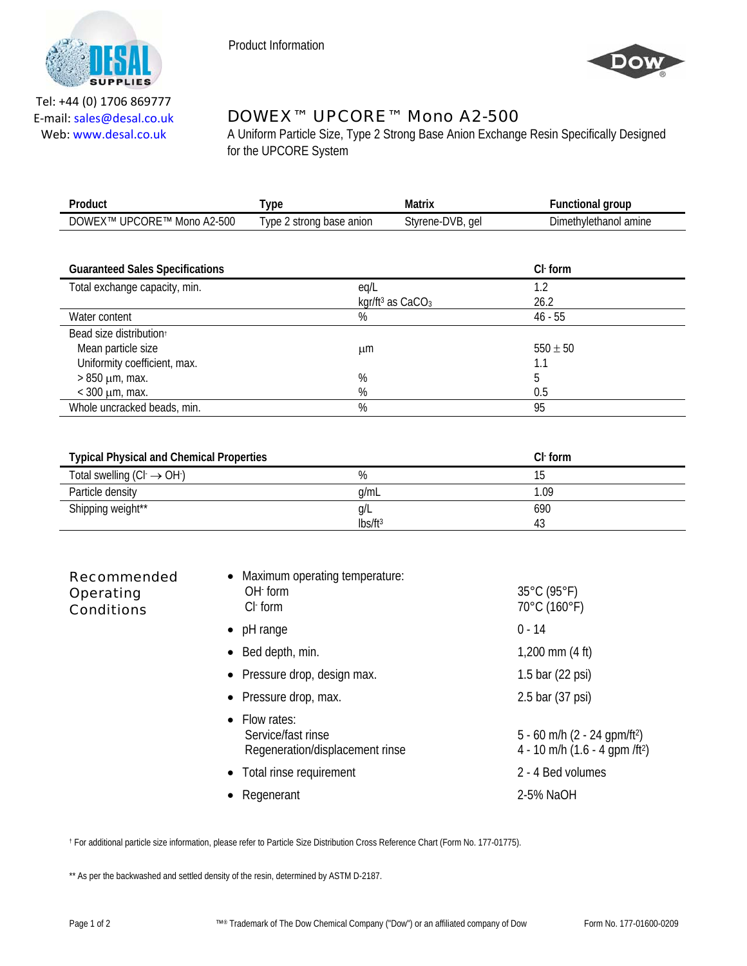

Product Information



Tel: +44 (0) 1706 869777 E‐mail: sales@desal.co.uk Web: www.desal.co.uk

## DOWEX™ UPCORE™ Mono A2-500

A Uniform Particle Size, Type 2 Strong Base Anion Exchange Resin Specifically Designed for the UPCORE System

| Product                    | ype                      | Matrix           | <b>Functional group</b> |
|----------------------------|--------------------------|------------------|-------------------------|
| DOWEX™ UPCORE™ Mono A2-500 | Type 2 strong base anion | Styrene-DVB, gel | Dimethylethanol amine   |
|                            |                          |                  |                         |

| <b>Guaranteed Sales Specifications</b> |                                | $Cl1$ form   |  |
|----------------------------------------|--------------------------------|--------------|--|
| Total exchange capacity, min.          | eq/L                           | 1.2          |  |
|                                        | kgr/ft <sup>3</sup> as $CaCO3$ | 26.2         |  |
| Water content                          | %                              | $46 - 55$    |  |
| Bead size distribution <sup>+</sup>    |                                |              |  |
| Mean particle size                     | μm                             | $550 \pm 50$ |  |
| Uniformity coefficient, max.           |                                | 1.1          |  |
| $>850 \mu m$ , max.                    | %                              |              |  |
| $<$ 300 $\mu$ m, max.                  | %                              | 0.5          |  |
| Whole uncracked beads, min.            | %                              | 95           |  |

| <b>Typical Physical and Chemical Properties</b> |               | $Cl$ form |
|-------------------------------------------------|---------------|-----------|
| Total swelling $(Cl \rightarrow OH)$            | %             | נ'.       |
| Particle density                                | a/mL          | l.09      |
| Shipping weight**                               | g/L           | 690       |
|                                                 | $\frac{1}{5}$ | 43        |

| <b>Recommended</b><br>Operating<br><b>Conditions</b> | • Maximum operating temperature:<br>$OH$ form<br>$Cl1$ form            | 35°C (95°F)<br>70°C (160°F)                                                                |
|------------------------------------------------------|------------------------------------------------------------------------|--------------------------------------------------------------------------------------------|
|                                                      | $\bullet$ pH range                                                     | $0 - 14$                                                                                   |
|                                                      | $\bullet$ Bed depth, min.                                              | 1,200 mm $(4 \text{ ft})$                                                                  |
|                                                      | • Pressure drop, design max.                                           | 1.5 bar (22 psi)                                                                           |
|                                                      | • Pressure drop, max.                                                  | 2.5 bar (37 psi)                                                                           |
|                                                      | • Flow rates:<br>Service/fast rinse<br>Regeneration/displacement rinse | 5 - 60 m/h $(2 - 24$ gpm/ft <sup>2</sup> )<br>4 - 10 m/h $(1.6 - 4$ gpm /ft <sup>2</sup> ) |
|                                                      | • Total rinse requirement                                              | 2 - 4 Bed volumes                                                                          |
|                                                      | Regenerant<br>$\bullet$                                                | 2-5% NaOH                                                                                  |

† For additional particle size information, please refer to Particle Size Distribution Cross Reference Chart (Form No. 177-01775).

\*\* As per the backwashed and settled density of the resin, determined by ASTM D-2187.